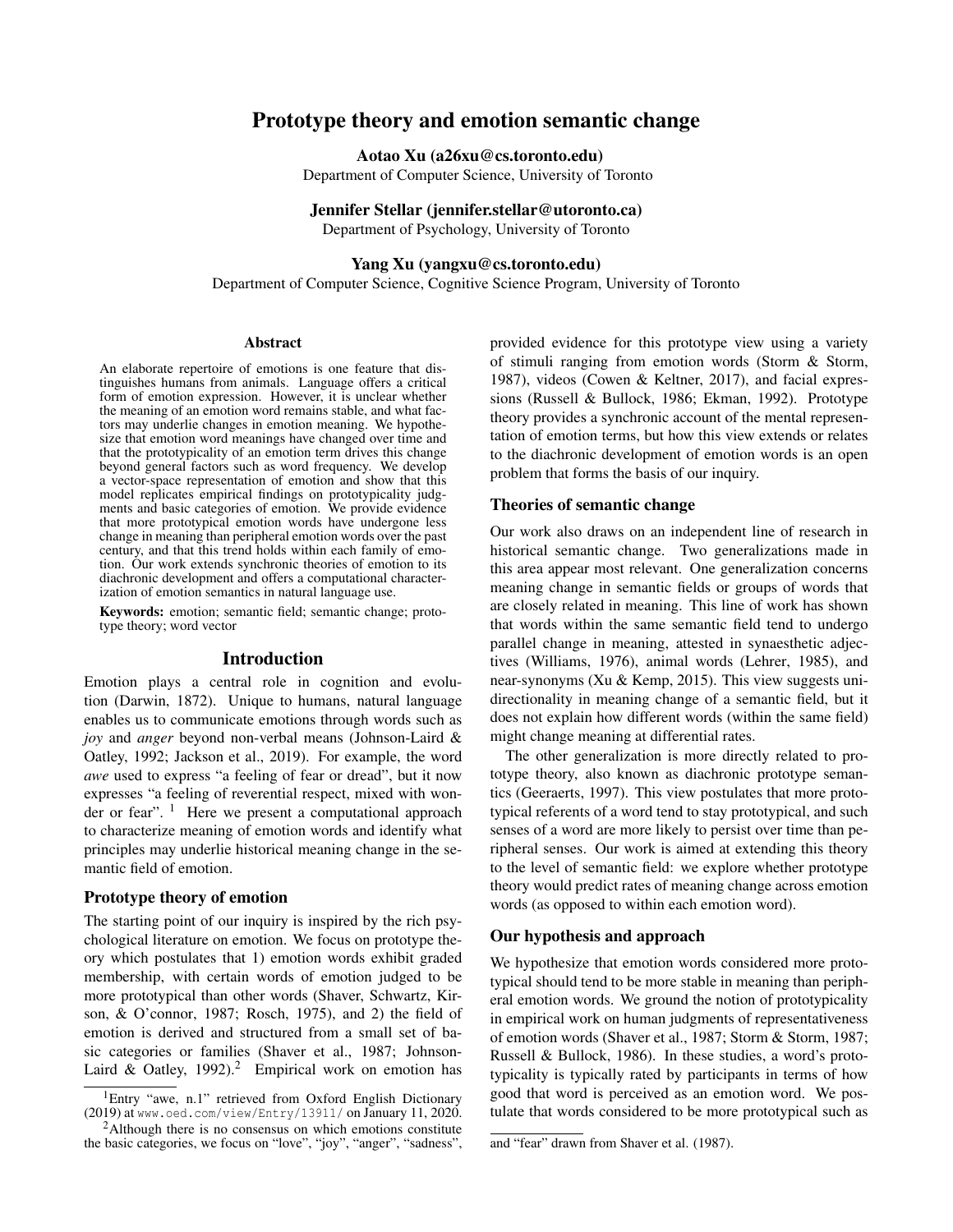# Prototype theory and emotion semantic change

Aotao Xu (a26xu@cs.toronto.edu)

Department of Computer Science, University of Toronto

Jennifer Stellar (jennifer.stellar@utoronto.ca) Department of Psychology, University of Toronto

Yang Xu (yangxu@cs.toronto.edu)

Department of Computer Science, Cognitive Science Program, University of Toronto

## Abstract

An elaborate repertoire of emotions is one feature that distinguishes humans from animals. Language offers a critical form of emotion expression. However, it is unclear whether the meaning of an emotion word remains stable, and what factors may underlie changes in emotion meaning. We hypothesize that emotion word meanings have changed over time and that the prototypicality of an emotion term drives this change beyond general factors such as word frequency. We develop a vector-space representation of emotion and show that this model replicates empirical findings on prototypicality judgments and basic categories of emotion. We provide evidence that more prototypical emotion words have undergone less change in meaning than peripheral emotion words over the past century, and that this trend holds within each family of emotion. Our work extends synchronic theories of emotion to its diachronic development and offers a computational characterization of emotion semantics in natural language use.

Keywords: emotion; semantic field; semantic change; prototype theory; word vector

## Introduction

Emotion plays a central role in cognition and evolution (Darwin, 1872). Unique to humans, natural language enables us to communicate emotions through words such as *joy* and *anger* beyond non-verbal means (Johnson-Laird & Oatley, 1992; Jackson et al., 2019). For example, the word *awe* used to express "a feeling of fear or dread", but it now expresses "a feeling of reverential respect, mixed with wonder or fear".  $\frac{1}{1}$  Here we present a computational approach to characterize meaning of emotion words and identify what principles may underlie historical meaning change in the semantic field of emotion.

#### Prototype theory of emotion

The starting point of our inquiry is inspired by the rich psychological literature on emotion. We focus on prototype theory which postulates that 1) emotion words exhibit graded membership, with certain words of emotion judged to be more prototypical than other words (Shaver, Schwartz, Kirson, & O'connor, 1987; Rosch, 1975), and 2) the field of emotion is derived and structured from a small set of basic categories or families (Shaver et al., 1987; Johnson-Laird & Oatley, 1992).<sup>2</sup> Empirical work on emotion has provided evidence for this prototype view using a variety of stimuli ranging from emotion words (Storm & Storm, 1987), videos (Cowen & Keltner, 2017), and facial expressions (Russell & Bullock, 1986; Ekman, 1992). Prototype theory provides a synchronic account of the mental representation of emotion terms, but how this view extends or relates to the diachronic development of emotion words is an open problem that forms the basis of our inquiry.

# Theories of semantic change

Our work also draws on an independent line of research in historical semantic change. Two generalizations made in this area appear most relevant. One generalization concerns meaning change in semantic fields or groups of words that are closely related in meaning. This line of work has shown that words within the same semantic field tend to undergo parallel change in meaning, attested in synaesthetic adjectives (Williams, 1976), animal words (Lehrer, 1985), and near-synonyms (Xu & Kemp, 2015). This view suggests unidirectionality in meaning change of a semantic field, but it does not explain how different words (within the same field) might change meaning at differential rates.

The other generalization is more directly related to prototype theory, also known as diachronic prototype semantics (Geeraerts, 1997). This view postulates that more prototypical referents of a word tend to stay prototypical, and such senses of a word are more likely to persist over time than peripheral senses. Our work is aimed at extending this theory to the level of semantic field: we explore whether prototype theory would predict rates of meaning change across emotion words (as opposed to within each emotion word).

### Our hypothesis and approach

We hypothesize that emotion words considered more prototypical should tend to be more stable in meaning than peripheral emotion words. We ground the notion of prototypicality in empirical work on human judgments of representativeness of emotion words (Shaver et al., 1987; Storm & Storm, 1987; Russell & Bullock, 1986). In these studies, a word's prototypicality is typically rated by participants in terms of how good that word is perceived as an emotion word. We postulate that words considered to be more prototypical such as

<sup>&</sup>lt;sup>1</sup>Entry "awe, n.1" retrieved from Oxford English Dictionary (2019) at www.oed.com/view/Entry/13911/ on January 11, 2020.

 $2$ Although there is no consensus on which emotions constitute the basic categories, we focus on "love", "joy", "anger", "sadness",

and "fear" drawn from Shaver et al. (1987).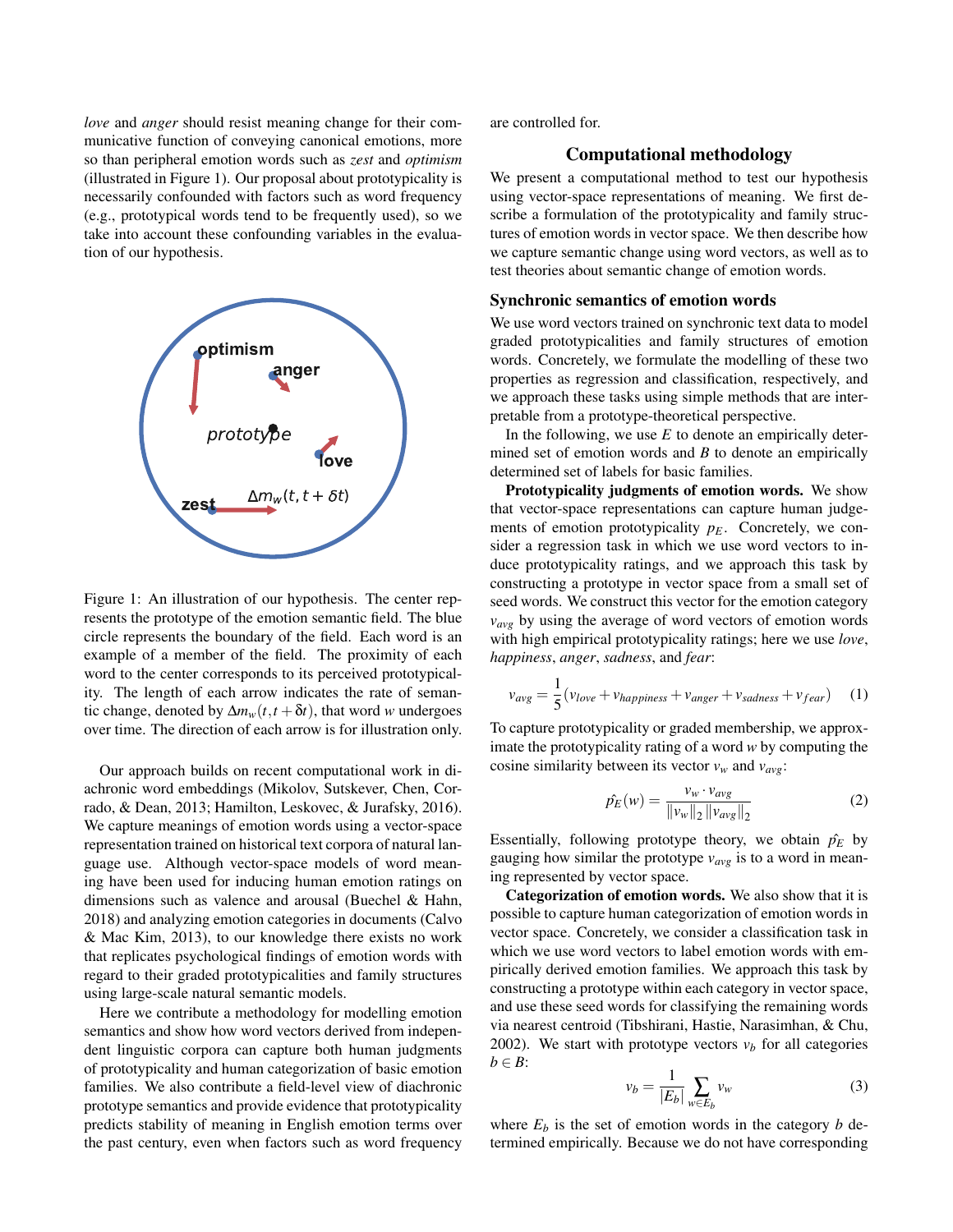*love* and *anger* should resist meaning change for their communicative function of conveying canonical emotions, more so than peripheral emotion words such as *zest* and *optimism* (illustrated in Figure 1). Our proposal about prototypicality is necessarily confounded with factors such as word frequency (e.g., prototypical words tend to be frequently used), so we take into account these confounding variables in the evaluation of our hypothesis.



Figure 1: An illustration of our hypothesis. The center represents the prototype of the emotion semantic field. The blue circle represents the boundary of the field. Each word is an example of a member of the field. The proximity of each word to the center corresponds to its perceived prototypicality. The length of each arrow indicates the rate of semantic change, denoted by  $\Delta m_w(t, t + \delta t)$ , that word *w* undergoes over time. The direction of each arrow is for illustration only.

Our approach builds on recent computational work in diachronic word embeddings (Mikolov, Sutskever, Chen, Corrado, & Dean, 2013; Hamilton, Leskovec, & Jurafsky, 2016). We capture meanings of emotion words using a vector-space representation trained on historical text corpora of natural language use. Although vector-space models of word meaning have been used for inducing human emotion ratings on dimensions such as valence and arousal (Buechel & Hahn, 2018) and analyzing emotion categories in documents (Calvo & Mac Kim, 2013), to our knowledge there exists no work that replicates psychological findings of emotion words with regard to their graded prototypicalities and family structures using large-scale natural semantic models.

Here we contribute a methodology for modelling emotion semantics and show how word vectors derived from independent linguistic corpora can capture both human judgments of prototypicality and human categorization of basic emotion families. We also contribute a field-level view of diachronic prototype semantics and provide evidence that prototypicality predicts stability of meaning in English emotion terms over the past century, even when factors such as word frequency are controlled for.

# Computational methodology

We present a computational method to test our hypothesis using vector-space representations of meaning. We first describe a formulation of the prototypicality and family structures of emotion words in vector space. We then describe how we capture semantic change using word vectors, as well as to test theories about semantic change of emotion words.

### Synchronic semantics of emotion words

We use word vectors trained on synchronic text data to model graded prototypicalities and family structures of emotion words. Concretely, we formulate the modelling of these two properties as regression and classification, respectively, and we approach these tasks using simple methods that are interpretable from a prototype-theoretical perspective.

In the following, we use  $E$  to denote an empirically determined set of emotion words and *B* to denote an empirically determined set of labels for basic families.

Prototypicality judgments of emotion words. We show that vector-space representations can capture human judgements of emotion prototypicality  $p_E$ . Concretely, we consider a regression task in which we use word vectors to induce prototypicality ratings, and we approach this task by constructing a prototype in vector space from a small set of seed words. We construct this vector for the emotion category  $v_{avg}$  by using the average of word vectors of emotion words with high empirical prototypicality ratings; here we use *love*, *happiness*, *anger*, *sadness*, and *fear*:

$$
v_{avg} = \frac{1}{5}(v_{love} + v_{happings} + v_{anger} + v_{sadness} + v_{fear})
$$
 (1)

To capture prototypicality or graded membership, we approximate the prototypicality rating of a word *w* by computing the cosine similarity between its vector  $v_w$  and  $v_{avg}$ :

$$
\hat{p_E}(w) = \frac{v_w \cdot v_{avg}}{\|v_w\|_2 \|v_{avg}\|_2}
$$
\n(2)

Essentially, following prototype theory, we obtain  $\hat{p}_E$  by gauging how similar the prototype *vavg* is to a word in meaning represented by vector space.

Categorization of emotion words. We also show that it is possible to capture human categorization of emotion words in vector space. Concretely, we consider a classification task in which we use word vectors to label emotion words with empirically derived emotion families. We approach this task by constructing a prototype within each category in vector space, and use these seed words for classifying the remaining words via nearest centroid (Tibshirani, Hastie, Narasimhan, & Chu, 2002). We start with prototype vectors  $v_b$  for all categories  $b \in B$ :

$$
v_b = \frac{1}{|E_b|} \sum_{w \in E_b} v_w \tag{3}
$$

where  $E_b$  is the set of emotion words in the category *b* determined empirically. Because we do not have corresponding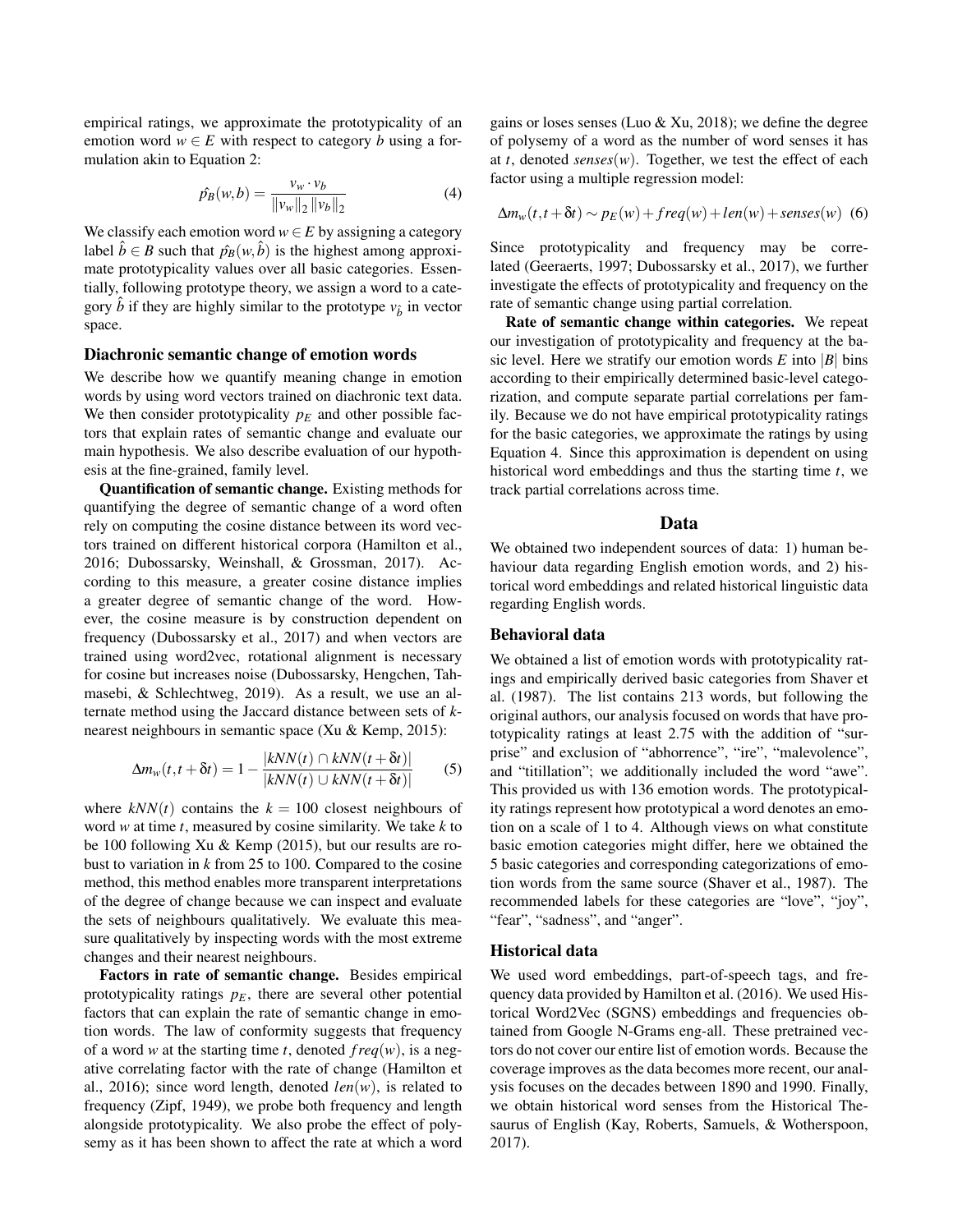empirical ratings, we approximate the prototypicality of an emotion word  $w \in E$  with respect to category *b* using a formulation akin to Equation 2:

$$
\hat{p_B}(w, b) = \frac{v_w \cdot v_b}{\|v_w\|_2 \, \|v_b\|_2} \tag{4}
$$

We classify each emotion word  $w \in E$  by assigning a category label  $\hat{b} \in B$  such that  $\hat{p}_B(w, \hat{b})$  is the highest among approximate prototypicality values over all basic categories. Essentially, following prototype theory, we assign a word to a category  $\hat{b}$  if they are highly similar to the prototype  $v_{\hat{b}}$  in vector space.

# Diachronic semantic change of emotion words

We describe how we quantify meaning change in emotion words by using word vectors trained on diachronic text data. We then consider prototypicality  $p_E$  and other possible factors that explain rates of semantic change and evaluate our main hypothesis. We also describe evaluation of our hypothesis at the fine-grained, family level.

Quantification of semantic change. Existing methods for quantifying the degree of semantic change of a word often rely on computing the cosine distance between its word vectors trained on different historical corpora (Hamilton et al., 2016; Dubossarsky, Weinshall, & Grossman, 2017). According to this measure, a greater cosine distance implies a greater degree of semantic change of the word. However, the cosine measure is by construction dependent on frequency (Dubossarsky et al., 2017) and when vectors are trained using word2vec, rotational alignment is necessary for cosine but increases noise (Dubossarsky, Hengchen, Tahmasebi, & Schlechtweg, 2019). As a result, we use an alternate method using the Jaccard distance between sets of *k*nearest neighbours in semantic space (Xu & Kemp, 2015):

$$
\Delta m_w(t, t + \delta t) = 1 - \frac{|kNN(t) \cap kNN(t + \delta t)|}{|kNN(t) \cup kNN(t + \delta t)|}
$$
(5)

where  $kNN(t)$  contains the  $k = 100$  closest neighbours of word *w* at time *t*, measured by cosine similarity. We take *k* to be 100 following Xu & Kemp (2015), but our results are robust to variation in *k* from 25 to 100. Compared to the cosine method, this method enables more transparent interpretations of the degree of change because we can inspect and evaluate the sets of neighbours qualitatively. We evaluate this measure qualitatively by inspecting words with the most extreme changes and their nearest neighbours.

Factors in rate of semantic change. Besides empirical prototypicality ratings  $p_E$ , there are several other potential factors that can explain the rate of semantic change in emotion words. The law of conformity suggests that frequency of a word *w* at the starting time *t*, denoted  $freq(w)$ , is a negative correlating factor with the rate of change (Hamilton et al., 2016); since word length, denoted  $len(w)$ , is related to frequency (Zipf, 1949), we probe both frequency and length alongside prototypicality. We also probe the effect of polysemy as it has been shown to affect the rate at which a word gains or loses senses (Luo & Xu, 2018); we define the degree of polysemy of a word as the number of word senses it has at *t*, denoted *senses*(*w*). Together, we test the effect of each factor using a multiple regression model:

$$
\Delta m_w(t, t + \delta t) \sim p_E(w) + freq(w) + len(w) + senses(w)
$$
 (6)

Since prototypicality and frequency may be correlated (Geeraerts, 1997; Dubossarsky et al., 2017), we further investigate the effects of prototypicality and frequency on the rate of semantic change using partial correlation.

Rate of semantic change within categories. We repeat our investigation of prototypicality and frequency at the basic level. Here we stratify our emotion words  $E$  into  $|B|$  bins according to their empirically determined basic-level categorization, and compute separate partial correlations per family. Because we do not have empirical prototypicality ratings for the basic categories, we approximate the ratings by using Equation 4. Since this approximation is dependent on using historical word embeddings and thus the starting time *t*, we track partial correlations across time.

#### Data

We obtained two independent sources of data: 1) human behaviour data regarding English emotion words, and 2) historical word embeddings and related historical linguistic data regarding English words.

### Behavioral data

We obtained a list of emotion words with prototypicality ratings and empirically derived basic categories from Shaver et al. (1987). The list contains 213 words, but following the original authors, our analysis focused on words that have prototypicality ratings at least 2.75 with the addition of "surprise" and exclusion of "abhorrence", "ire", "malevolence", and "titillation"; we additionally included the word "awe". This provided us with 136 emotion words. The prototypicality ratings represent how prototypical a word denotes an emotion on a scale of 1 to 4. Although views on what constitute basic emotion categories might differ, here we obtained the 5 basic categories and corresponding categorizations of emotion words from the same source (Shaver et al., 1987). The recommended labels for these categories are "love", "joy", "fear", "sadness", and "anger".

### Historical data

We used word embeddings, part-of-speech tags, and frequency data provided by Hamilton et al. (2016). We used Historical Word2Vec (SGNS) embeddings and frequencies obtained from Google N-Grams eng-all. These pretrained vectors do not cover our entire list of emotion words. Because the coverage improves as the data becomes more recent, our analysis focuses on the decades between 1890 and 1990. Finally, we obtain historical word senses from the Historical Thesaurus of English (Kay, Roberts, Samuels, & Wotherspoon, 2017).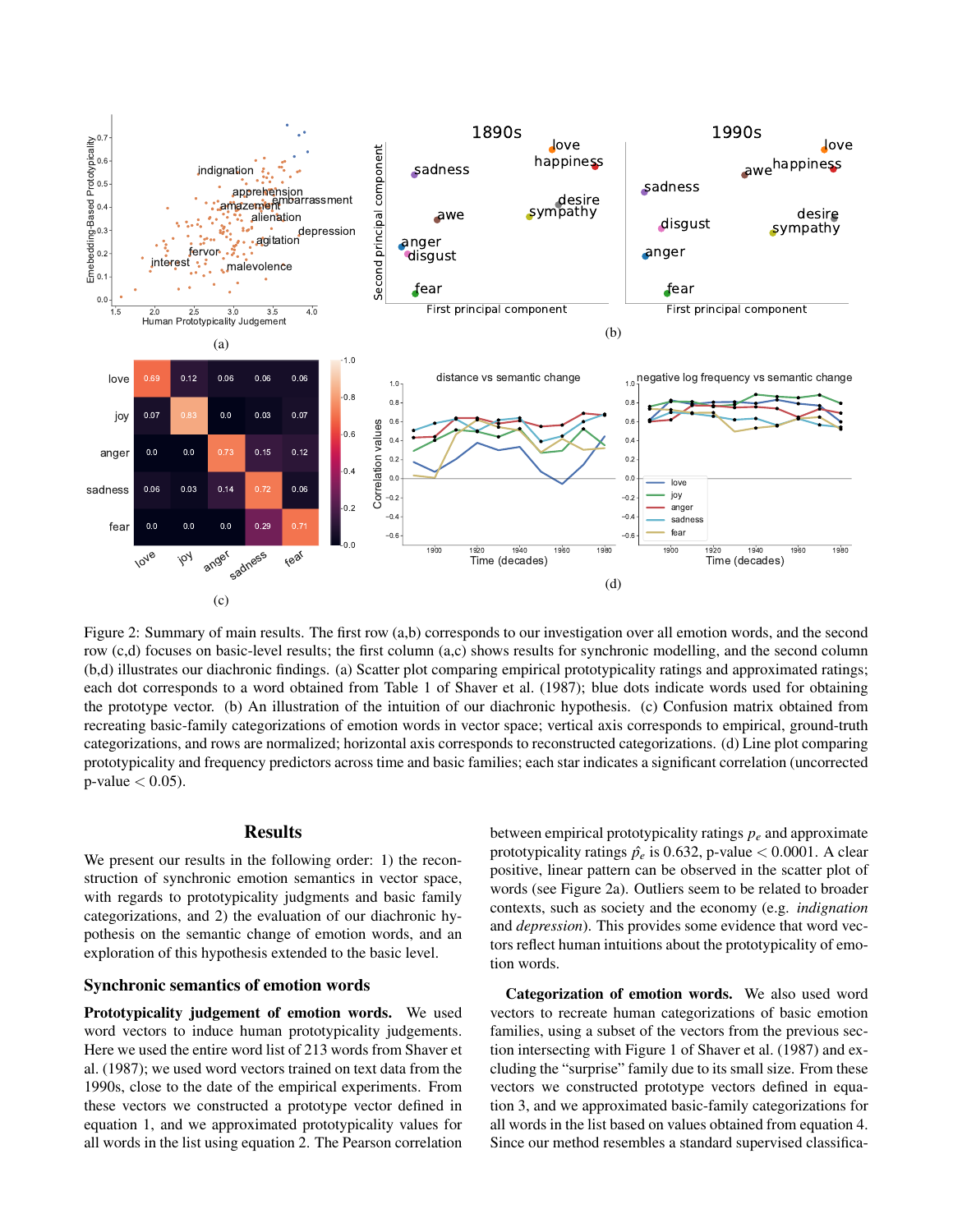

Figure 2: Summary of main results. The first row (a,b) corresponds to our investigation over all emotion words, and the second row (c,d) focuses on basic-level results; the first column (a,c) shows results for synchronic modelling, and the second column (b,d) illustrates our diachronic findings. (a) Scatter plot comparing empirical prototypicality ratings and approximated ratings; each dot corresponds to a word obtained from Table 1 of Shaver et al. (1987); blue dots indicate words used for obtaining the prototype vector. (b) An illustration of the intuition of our diachronic hypothesis. (c) Confusion matrix obtained from recreating basic-family categorizations of emotion words in vector space; vertical axis corresponds to empirical, ground-truth categorizations, and rows are normalized; horizontal axis corresponds to reconstructed categorizations. (d) Line plot comparing prototypicality and frequency predictors across time and basic families; each star indicates a significant correlation (uncorrected  $p$ -value  $< 0.05$ ).

# **Results**

We present our results in the following order: 1) the reconstruction of synchronic emotion semantics in vector space, with regards to prototypicality judgments and basic family categorizations, and 2) the evaluation of our diachronic hypothesis on the semantic change of emotion words, and an exploration of this hypothesis extended to the basic level.

## Synchronic semantics of emotion words

Prototypicality judgement of emotion words. We used word vectors to induce human prototypicality judgements. Here we used the entire word list of 213 words from Shaver et al. (1987); we used word vectors trained on text data from the 1990s, close to the date of the empirical experiments. From these vectors we constructed a prototype vector defined in equation 1, and we approximated prototypicality values for all words in the list using equation 2. The Pearson correlation between empirical prototypicality ratings *p<sup>e</sup>* and approximate prototypicality ratings  $\hat{p}_e$  is 0.632, p-value < 0.0001. A clear positive, linear pattern can be observed in the scatter plot of words (see Figure 2a). Outliers seem to be related to broader contexts, such as society and the economy (e.g. *indignation* and *depression*). This provides some evidence that word vectors reflect human intuitions about the prototypicality of emotion words.

Categorization of emotion words. We also used word vectors to recreate human categorizations of basic emotion families, using a subset of the vectors from the previous section intersecting with Figure 1 of Shaver et al. (1987) and excluding the "surprise" family due to its small size. From these vectors we constructed prototype vectors defined in equation 3, and we approximated basic-family categorizations for all words in the list based on values obtained from equation 4. Since our method resembles a standard supervised classifica-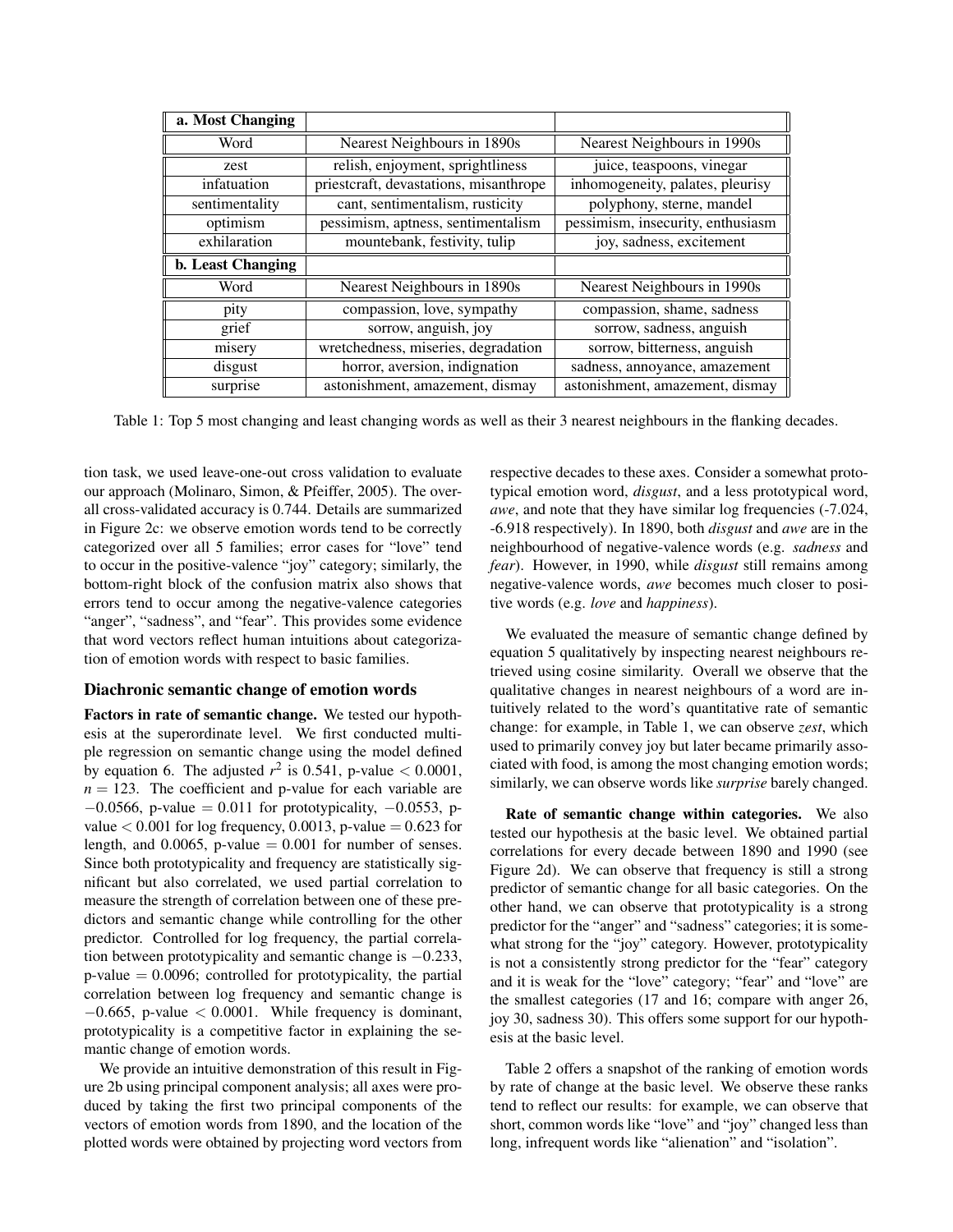| a. Most Changing         |                                        |                                   |
|--------------------------|----------------------------------------|-----------------------------------|
| Word                     | Nearest Neighbours in 1890s            | Nearest Neighbours in 1990s       |
| zest                     | relish, enjoyment, sprightliness       | juice, teaspoons, vinegar         |
| infatuation              | priestcraft, devastations, misanthrope | inhomogeneity, palates, pleurisy  |
| sentimentality           | cant, sentimentalism, rusticity        | polyphony, sterne, mandel         |
| optimism                 | pessimism, aptness, sentimentalism     | pessimism, insecurity, enthusiasm |
| exhilaration             | mountebank, festivity, tulip           | joy, sadness, excitement          |
| <b>b.</b> Least Changing |                                        |                                   |
| Word                     | Nearest Neighbours in 1890s            | Nearest Neighbours in 1990s       |
| pity                     | compassion, love, sympathy             | compassion, shame, sadness        |
| grief                    | sorrow, anguish, joy                   | sorrow, sadness, anguish          |
| misery                   | wretchedness, miseries, degradation    | sorrow, bitterness, anguish       |
| disgust                  | horror, aversion, indignation          | sadness, annoyance, amazement     |
| surprise                 | astonishment, amazement, dismay        | astonishment, amazement, dismay   |

Table 1: Top 5 most changing and least changing words as well as their 3 nearest neighbours in the flanking decades.

tion task, we used leave-one-out cross validation to evaluate our approach (Molinaro, Simon, & Pfeiffer, 2005). The overall cross-validated accuracy is 0.744. Details are summarized in Figure 2c: we observe emotion words tend to be correctly categorized over all 5 families; error cases for "love" tend to occur in the positive-valence "joy" category; similarly, the bottom-right block of the confusion matrix also shows that errors tend to occur among the negative-valence categories "anger", "sadness", and "fear". This provides some evidence that word vectors reflect human intuitions about categorization of emotion words with respect to basic families.

# Diachronic semantic change of emotion words

Factors in rate of semantic change. We tested our hypothesis at the superordinate level. We first conducted multiple regression on semantic change using the model defined by equation 6. The adjusted  $r^2$  is 0.541, p-value  $< 0.0001$ ,  $n = 123$ . The coefficient and p-value for each variable are  $-0.0566$ , p-value = 0.011 for prototypicality,  $-0.0553$ , pvalue  $< 0.001$  for log frequency, 0.0013, p-value  $= 0.623$  for length, and  $0.0065$ , p-value = 0.001 for number of senses. Since both prototypicality and frequency are statistically significant but also correlated, we used partial correlation to measure the strength of correlation between one of these predictors and semantic change while controlling for the other predictor. Controlled for log frequency, the partial correlation between prototypicality and semantic change is −0.233,  $p$ -value = 0.0096; controlled for prototypicality, the partial correlation between log frequency and semantic change is  $-0.665$ , p-value  $< 0.0001$ . While frequency is dominant, prototypicality is a competitive factor in explaining the semantic change of emotion words.

We provide an intuitive demonstration of this result in Figure 2b using principal component analysis; all axes were produced by taking the first two principal components of the vectors of emotion words from 1890, and the location of the plotted words were obtained by projecting word vectors from respective decades to these axes. Consider a somewhat prototypical emotion word, *disgust*, and a less prototypical word, *awe*, and note that they have similar log frequencies (-7.024, -6.918 respectively). In 1890, both *disgust* and *awe* are in the neighbourhood of negative-valence words (e.g. *sadness* and *fear*). However, in 1990, while *disgust* still remains among negative-valence words, *awe* becomes much closer to positive words (e.g. *love* and *happiness*).

We evaluated the measure of semantic change defined by equation 5 qualitatively by inspecting nearest neighbours retrieved using cosine similarity. Overall we observe that the qualitative changes in nearest neighbours of a word are intuitively related to the word's quantitative rate of semantic change: for example, in Table 1, we can observe *zest*, which used to primarily convey joy but later became primarily associated with food, is among the most changing emotion words; similarly, we can observe words like *surprise* barely changed.

Rate of semantic change within categories. We also tested our hypothesis at the basic level. We obtained partial correlations for every decade between 1890 and 1990 (see Figure 2d). We can observe that frequency is still a strong predictor of semantic change for all basic categories. On the other hand, we can observe that prototypicality is a strong predictor for the "anger" and "sadness" categories; it is somewhat strong for the "joy" category. However, prototypicality is not a consistently strong predictor for the "fear" category and it is weak for the "love" category; "fear" and "love" are the smallest categories (17 and 16; compare with anger 26, joy 30, sadness 30). This offers some support for our hypothesis at the basic level.

Table 2 offers a snapshot of the ranking of emotion words by rate of change at the basic level. We observe these ranks tend to reflect our results: for example, we can observe that short, common words like "love" and "joy" changed less than long, infrequent words like "alienation" and "isolation".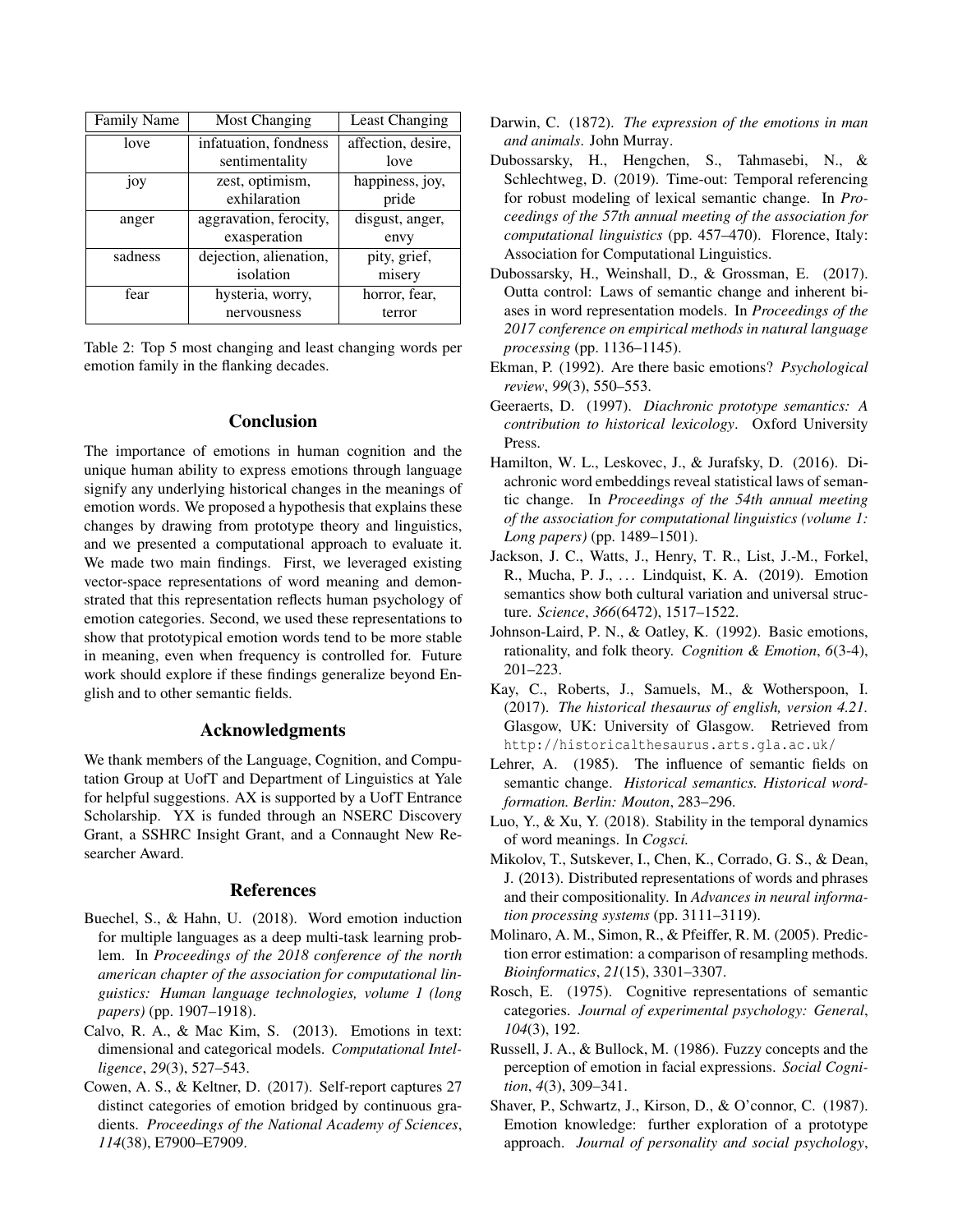| <b>Family Name</b> | <b>Most Changing</b>   | Least Changing     |
|--------------------|------------------------|--------------------|
| love               | infatuation, fondness  | affection, desire, |
|                    | sentimentality         | love               |
| joy                | zest, optimism,        | happiness, joy,    |
|                    | exhilaration           | pride              |
| anger              | aggravation, ferocity, | disgust, anger,    |
|                    | exasperation           | envy               |
| sadness            | dejection, alienation, | pity, grief,       |
|                    | isolation              | misery             |
| fear               | hysteria, worry,       | horror, fear,      |
|                    | nervousness            | terror             |

Table 2: Top 5 most changing and least changing words per emotion family in the flanking decades.

# Conclusion

The importance of emotions in human cognition and the unique human ability to express emotions through language signify any underlying historical changes in the meanings of emotion words. We proposed a hypothesis that explains these changes by drawing from prototype theory and linguistics, and we presented a computational approach to evaluate it. We made two main findings. First, we leveraged existing vector-space representations of word meaning and demonstrated that this representation reflects human psychology of emotion categories. Second, we used these representations to show that prototypical emotion words tend to be more stable in meaning, even when frequency is controlled for. Future work should explore if these findings generalize beyond English and to other semantic fields.

# Acknowledgments

We thank members of the Language, Cognition, and Computation Group at UofT and Department of Linguistics at Yale for helpful suggestions. AX is supported by a UofT Entrance Scholarship. YX is funded through an NSERC Discovery Grant, a SSHRC Insight Grant, and a Connaught New Researcher Award.

## References

- Buechel, S., & Hahn, U. (2018). Word emotion induction for multiple languages as a deep multi-task learning problem. In *Proceedings of the 2018 conference of the north american chapter of the association for computational linguistics: Human language technologies, volume 1 (long papers)* (pp. 1907–1918).
- Calvo, R. A., & Mac Kim, S. (2013). Emotions in text: dimensional and categorical models. *Computational Intelligence*, *29*(3), 527–543.
- Cowen, A. S., & Keltner, D. (2017). Self-report captures 27 distinct categories of emotion bridged by continuous gradients. *Proceedings of the National Academy of Sciences*, *114*(38), E7900–E7909.
- Darwin, C. (1872). *The expression of the emotions in man and animals*. John Murray.
- Dubossarsky, H., Hengchen, S., Tahmasebi, N., & Schlechtweg, D. (2019). Time-out: Temporal referencing for robust modeling of lexical semantic change. In *Proceedings of the 57th annual meeting of the association for computational linguistics* (pp. 457–470). Florence, Italy: Association for Computational Linguistics.
- Dubossarsky, H., Weinshall, D., & Grossman, E. (2017). Outta control: Laws of semantic change and inherent biases in word representation models. In *Proceedings of the 2017 conference on empirical methods in natural language processing* (pp. 1136–1145).
- Ekman, P. (1992). Are there basic emotions? *Psychological review*, *99*(3), 550–553.
- Geeraerts, D. (1997). *Diachronic prototype semantics: A contribution to historical lexicology*. Oxford University Press.
- Hamilton, W. L., Leskovec, J., & Jurafsky, D. (2016). Diachronic word embeddings reveal statistical laws of semantic change. In *Proceedings of the 54th annual meeting of the association for computational linguistics (volume 1: Long papers)* (pp. 1489–1501).
- Jackson, J. C., Watts, J., Henry, T. R., List, J.-M., Forkel, R., Mucha, P. J., ... Lindquist, K. A. (2019). Emotion semantics show both cultural variation and universal structure. *Science*, *366*(6472), 1517–1522.
- Johnson-Laird, P. N., & Oatley, K. (1992). Basic emotions, rationality, and folk theory. *Cognition & Emotion*, *6*(3-4), 201–223.
- Kay, C., Roberts, J., Samuels, M., & Wotherspoon, I. (2017). *The historical thesaurus of english, version 4.21.* Glasgow, UK: University of Glasgow. Retrieved from http://historicalthesaurus.arts.gla.ac.uk/
- Lehrer, A. (1985). The influence of semantic fields on semantic change. *Historical semantics. Historical wordformation. Berlin: Mouton*, 283–296.
- Luo, Y., & Xu, Y. (2018). Stability in the temporal dynamics of word meanings. In *Cogsci.*
- Mikolov, T., Sutskever, I., Chen, K., Corrado, G. S., & Dean, J. (2013). Distributed representations of words and phrases and their compositionality. In *Advances in neural information processing systems* (pp. 3111–3119).
- Molinaro, A. M., Simon, R., & Pfeiffer, R. M. (2005). Prediction error estimation: a comparison of resampling methods. *Bioinformatics*, *21*(15), 3301–3307.
- Rosch, E. (1975). Cognitive representations of semantic categories. *Journal of experimental psychology: General*, *104*(3), 192.
- Russell, J. A., & Bullock, M. (1986). Fuzzy concepts and the perception of emotion in facial expressions. *Social Cognition*, *4*(3), 309–341.
- Shaver, P., Schwartz, J., Kirson, D., & O'connor, C. (1987). Emotion knowledge: further exploration of a prototype approach. *Journal of personality and social psychology*,